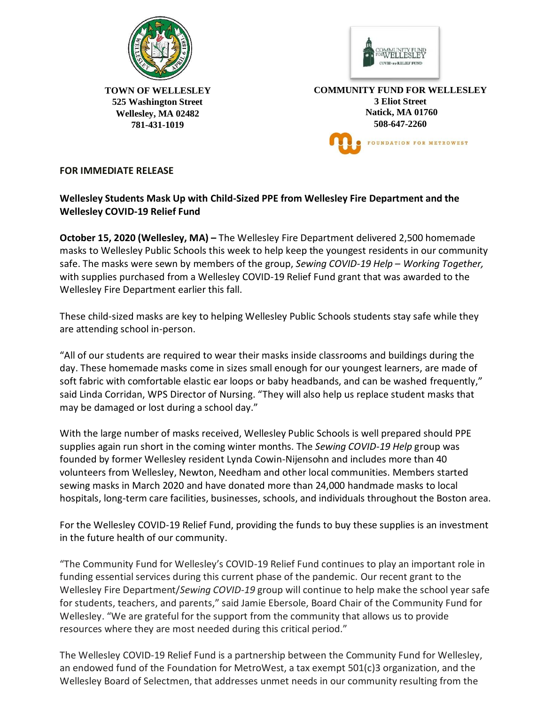



**TOWN OF WELLESLEY 525 Washington Street Wellesley, MA 02482 781-431-1019** 

**COMMUNITY FUND FOR WELLESLEY 3 Eliot Street Natick, MA 01760 508-647-2260** FOUNDATION FOR METROWEST

## **FOR IMMEDIATE RELEASE**

## **Wellesley Students Mask Up with Child-Sized PPE from Wellesley Fire Department and the Wellesley COVID-19 Relief Fund**

**October 15, 2020 (Wellesley, MA) –** The Wellesley Fire Department delivered 2,500 homemade masks to Wellesley Public Schools this week to help keep the youngest residents in our community safe. The masks were sewn by members of the group, *Sewing COVID-19 Help – Working Together,* with supplies purchased from a Wellesley COVID-19 Relief Fund grant that was awarded to the Wellesley Fire Department earlier this fall.

These child-sized masks are key to helping Wellesley Public Schools students stay safe while they are attending school in-person.

"All of our students are required to wear their masks inside classrooms and buildings during the day. These homemade masks come in sizes small enough for our youngest learners, are made of soft fabric with comfortable elastic ear loops or baby headbands, and can be washed frequently," said Linda Corridan, WPS Director of Nursing. "They will also help us replace student masks that may be damaged or lost during a school day."

With the large number of masks received, Wellesley Public Schools is well prepared should PPE supplies again run short in the coming winter months. The *Sewing COVID-19 Help* group was founded by former Wellesley resident Lynda Cowin-Nijensohn and includes more than 40 volunteers from Wellesley, Newton, Needham and other local communities. Members started sewing masks in March 2020 and have donated more than 24,000 handmade masks to local hospitals, long-term care facilities, businesses, schools, and individuals throughout the Boston area.

For the Wellesley COVID-19 Relief Fund, providing the funds to buy these supplies is an investment in the future health of our community.

"The Community Fund for Wellesley's COVID-19 Relief Fund continues to play an important role in funding essential services during this current phase of the pandemic. Our recent grant to the Wellesley Fire Department/*Sewing COVID-19* group will continue to help make the school year safe for students, teachers, and parents," said Jamie Ebersole, Board Chair of the Community Fund for Wellesley. "We are grateful for the support from the community that allows us to provide resources where they are most needed during this critical period."

The Wellesley COVID-19 Relief Fund is a partnership between the Community Fund for Wellesley, an endowed fund of the Foundation for MetroWest, a tax exempt 501(c)3 organization, and the Wellesley Board of Selectmen, that addresses unmet needs in our community resulting from the